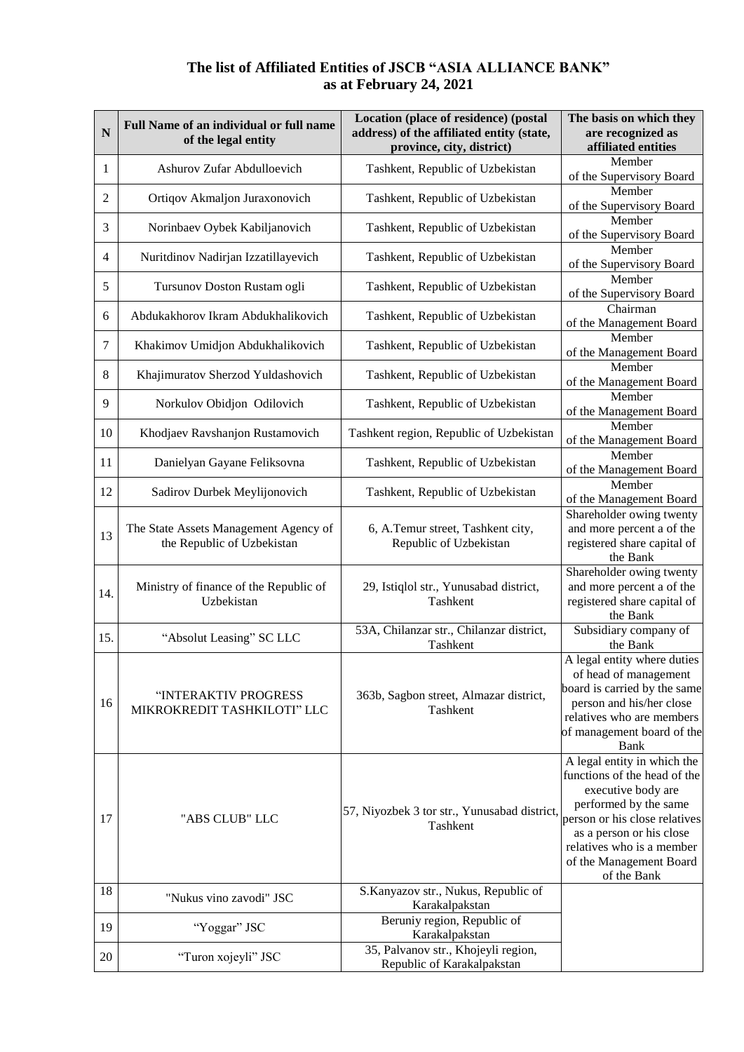## **The list of Affiliated Entities of JSCB "ASIA ALLIANCE BANK" as at February 24, 2021**

| N   | Full Name of an individual or full name<br>of the legal entity      | Location (place of residence) (postal<br>address) of the affiliated entity (state,<br>province, city, district) | The basis on which they<br>are recognized as<br>affiliated entities                                                                                                                                                                            |
|-----|---------------------------------------------------------------------|-----------------------------------------------------------------------------------------------------------------|------------------------------------------------------------------------------------------------------------------------------------------------------------------------------------------------------------------------------------------------|
| 1   | Ashurov Zufar Abdulloevich                                          | Tashkent, Republic of Uzbekistan                                                                                | Member<br>of the Supervisory Board                                                                                                                                                                                                             |
| 2   | Ortiqov Akmaljon Juraxonovich                                       | Tashkent, Republic of Uzbekistan                                                                                | Member<br>of the Supervisory Board                                                                                                                                                                                                             |
| 3   | Norinbaev Oybek Kabiljanovich                                       | Tashkent, Republic of Uzbekistan                                                                                | Member<br>of the Supervisory Board                                                                                                                                                                                                             |
| 4   | Nuritdinov Nadirjan Izzatillayevich                                 | Tashkent, Republic of Uzbekistan                                                                                | Member<br>of the Supervisory Board                                                                                                                                                                                                             |
| 5   | Tursunov Doston Rustam ogli                                         | Tashkent, Republic of Uzbekistan                                                                                | Member<br>of the Supervisory Board                                                                                                                                                                                                             |
| 6   | Abdukakhorov Ikram Abdukhalikovich                                  | Tashkent, Republic of Uzbekistan                                                                                | Chairman<br>of the Management Board                                                                                                                                                                                                            |
| 7   | Khakimov Umidjon Abdukhalikovich                                    | Tashkent, Republic of Uzbekistan                                                                                | Member<br>of the Management Board                                                                                                                                                                                                              |
| 8   | Khajimuratov Sherzod Yuldashovich                                   | Tashkent, Republic of Uzbekistan                                                                                | Member<br>of the Management Board                                                                                                                                                                                                              |
| 9   | Norkulov Obidjon Odilovich                                          | Tashkent, Republic of Uzbekistan                                                                                | Member<br>of the Management Board                                                                                                                                                                                                              |
| 10  | Khodjaev Ravshanjon Rustamovich                                     | Tashkent region, Republic of Uzbekistan                                                                         | Member<br>of the Management Board                                                                                                                                                                                                              |
| 11  | Danielyan Gayane Feliksovna                                         | Tashkent, Republic of Uzbekistan                                                                                | Member<br>of the Management Board                                                                                                                                                                                                              |
| 12  | Sadirov Durbek Meylijonovich                                        | Tashkent, Republic of Uzbekistan                                                                                | Member<br>of the Management Board                                                                                                                                                                                                              |
| 13  | The State Assets Management Agency of<br>the Republic of Uzbekistan | 6, A.Temur street, Tashkent city,<br>Republic of Uzbekistan                                                     | Shareholder owing twenty<br>and more percent a of the<br>registered share capital of<br>the Bank                                                                                                                                               |
| 14. | Ministry of finance of the Republic of<br>Uzbekistan                | 29, Istiqlol str., Yunusabad district,<br>Tashkent                                                              | Shareholder owing twenty<br>and more percent a of the<br>registered share capital of<br>the Bank                                                                                                                                               |
| 15. | "Absolut Leasing" SC LLC                                            | 53A, Chilanzar str., Chilanzar district,<br>Tashkent                                                            | Subsidiary company of<br>the Bank                                                                                                                                                                                                              |
| 16  | "INTERAKTIV PROGRESS<br>MIKROKREDIT TASHKILOTI" LLC                 | 363b, Sagbon street, Almazar district,<br>Tashkent                                                              | A legal entity where duties<br>of head of management<br>board is carried by the same<br>person and his/her close<br>relatives who are members<br>of management board of the<br><b>Bank</b>                                                     |
| 17  | "ABS CLUB" LLC                                                      | 57, Niyozbek 3 tor str., Yunusabad district,<br>Tashkent                                                        | A legal entity in which the<br>functions of the head of the<br>executive body are<br>performed by the same<br>person or his close relatives<br>as a person or his close<br>relatives who is a member<br>of the Management Board<br>of the Bank |
| 18  | "Nukus vino zavodi" JSC                                             | S.Kanyazov str., Nukus, Republic of                                                                             |                                                                                                                                                                                                                                                |
| 19  | "Yoggar" JSC                                                        | Karakalpakstan<br>Beruniy region, Republic of<br>Karakalpakstan                                                 |                                                                                                                                                                                                                                                |
| 20  | "Turon xojeyli" JSC                                                 | 35, Palvanov str., Khojeyli region,<br>Republic of Karakalpakstan                                               |                                                                                                                                                                                                                                                |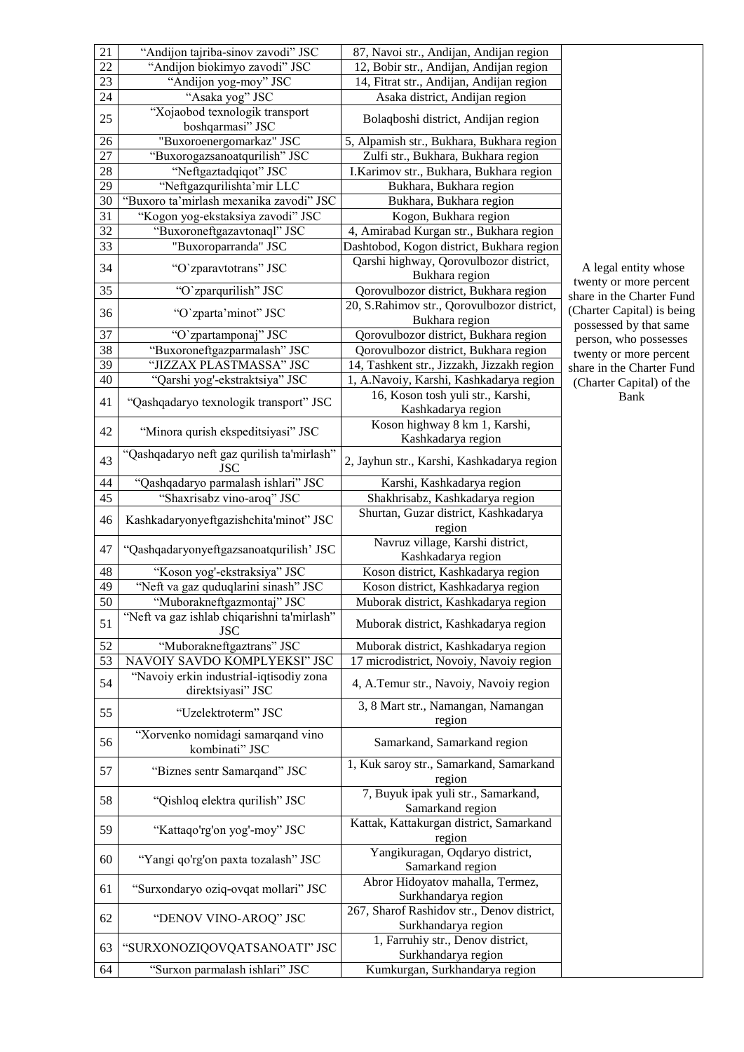| 21 | "Andijon tajriba-sinov zavodi" JSC                           | 87, Navoi str., Andijan, Andijan region                                                  |
|----|--------------------------------------------------------------|------------------------------------------------------------------------------------------|
| 22 | "Andijon biokimyo zavodi" JSC                                | 12, Bobir str., Andijan, Andijan region                                                  |
| 23 | "Andijon yog-moy" JSC                                        | 14, Fitrat str., Andijan, Andijan region                                                 |
| 24 | "Asaka yog" JSC                                              | Asaka district, Andijan region                                                           |
| 25 | "Xojaobod texnologik transport<br>boshqarmasi" JSC           | Bolaqboshi district, Andijan region                                                      |
| 26 | "Buxoroenergomarkaz" JSC                                     | 5, Alpamish str., Bukhara, Bukhara region                                                |
| 27 | "Buxorogazsanoatqurilish" JSC                                | Zulfi str., Bukhara, Bukhara region                                                      |
| 28 | "Neftgaztadqiqot" JSC                                        | I.Karimov str., Bukhara, Bukhara region                                                  |
| 29 | "Neftgazqurilishta'mir LLC                                   | Bukhara, Bukhara region                                                                  |
| 30 | "Buxoro ta'mirlash mexanika zavodi" JSC                      | Bukhara, Bukhara region                                                                  |
| 31 | "Kogon yog-ekstaksiya zavodi" JSC                            | Kogon, Bukhara region                                                                    |
| 32 | "Buxoroneftgazavtonaql" JSC                                  |                                                                                          |
|    |                                                              | 4, Amirabad Kurgan str., Bukhara region                                                  |
| 33 | "Buxoroparranda" JSC                                         | Dashtobod, Kogon district, Bukhara region                                                |
| 34 | "O`zparavtotrans" JSC                                        | Qarshi highway, Qorovulbozor district,<br>Bukhara region                                 |
| 35 | "O'zparqurilish" JSC                                         | Qorovulbozor district, Bukhara region<br>sł                                              |
| 36 | "O`zparta'minot" JSC                                         | 20, S.Rahimov str., Qorovulbozor district,<br>$\overline{\mathcal{L}}$<br>Bukhara region |
| 37 | "O'zpartamponaj" JSC                                         | Qorovulbozor district, Bukhara region                                                    |
| 38 | "Buxoroneftgazparmalash" JSC                                 | Qorovulbozor district, Bukhara region                                                    |
| 39 | "JIZZAX PLASTMASSA" JSC                                      | 14, Tashkent str., Jizzakh, Jizzakh region<br>sł                                         |
| 40 | "Qarshi yog'-ekstraktsiya" JSC                               | 1, A.Navoiy, Karshi, Kashkadarya region                                                  |
|    |                                                              | 16, Koson tosh yuli str., Karshi,                                                        |
| 41 | "Qashqadaryo texnologik transport" JSC                       | Kashkadarya region                                                                       |
|    |                                                              | Koson highway 8 km 1, Karshi,                                                            |
| 42 | "Minora qurish ekspeditsiyasi" JSC                           | Kashkadarya region                                                                       |
| 43 | "Qashqadaryo neft gaz qurilish ta'mirlash"<br>JSC            | 2, Jayhun str., Karshi, Kashkadarya region                                               |
| 44 | "Qashqadaryo parmalash ishlari" JSC                          | Karshi, Kashkadarya region                                                               |
| 45 | "Shaxrisabz vino-aroq" JSC                                   | Shakhrisabz, Kashkadarya region                                                          |
| 46 | Kashkadaryonyeftgazishchita'minot" JSC                       | Shurtan, Guzar district, Kashkadarya<br>region                                           |
| 47 | "Qashqadaryonyeftgazsanoatqurilish' JSC                      | Navruz village, Karshi district,<br>Kashkadarya region                                   |
| 48 | "Koson yog'-ekstraksiya" JSC                                 | Koson district, Kashkadarya region                                                       |
| 49 | "Neft va gaz quduqlarini sinash" JSC                         | Koson district, Kashkadarya region                                                       |
| 50 | "Muborakneftgazmontaj" JSC                                   | Muborak district, Kashkadarya region                                                     |
| 51 | "Neft va gaz ishlab chiqarishni ta'mirlash"<br><b>JSC</b>    | Muborak district, Kashkadarya region                                                     |
| 52 | "Muborakneftgaztrans" JSC                                    | Muborak district, Kashkadarya region                                                     |
| 53 | NAVOIY SAVDO KOMPLYEKSI" JSC                                 | 17 microdistrict, Novoiy, Navoiy region                                                  |
| 54 | "Navoiy erkin industrial-iqtisodiy zona<br>direktsiyasi" JSC | 4, A.Temur str., Navoiy, Navoiy region                                                   |
|    |                                                              | 3, 8 Mart str., Namangan, Namangan                                                       |
| 55 | "Uzelektroterm" JSC                                          | region                                                                                   |
| 56 | "Xorvenko nomidagi samarqand vino<br>kombinati" JSC          | Samarkand, Samarkand region                                                              |
| 57 | "Biznes sentr Samarqand" JSC                                 | 1, Kuk saroy str., Samarkand, Samarkand<br>region                                        |
| 58 | "Qishloq elektra qurilish" JSC                               | 7, Buyuk ipak yuli str., Samarkand,<br>Samarkand region                                  |
| 59 | "Kattaqo'rg'on yog'-moy" JSC                                 | Kattak, Kattakurgan district, Samarkand<br>region                                        |
| 60 | "Yangi qo'rg'on paxta tozalash" JSC                          | Yangikuragan, Oqdaryo district,<br>Samarkand region                                      |
| 61 | "Surxondaryo oziq-ovqat mollari" JSC                         | Abror Hidoyatov mahalla, Termez,<br>Surkhandarya region                                  |
| 62 | "DENOV VINO-AROQ" JSC                                        | 267, Sharof Rashidov str., Denov district,<br>Surkhandarya region                        |
| 63 | "SURXONOZIQOVQATSANOATI" JSC                                 | 1, Farruhiy str., Denov district,<br>Surkhandarya region                                 |
| 64 | "Surxon parmalash ishlari" JSC                               | Kumkurgan, Surkhandarya region                                                           |

A legal entity whose twenty or more percent hare in the Charter Fund (Charter Capital) is being possessed by that same person, who possesses twenty or more percent share in the Charter Fund (Charter Capital) of the Bank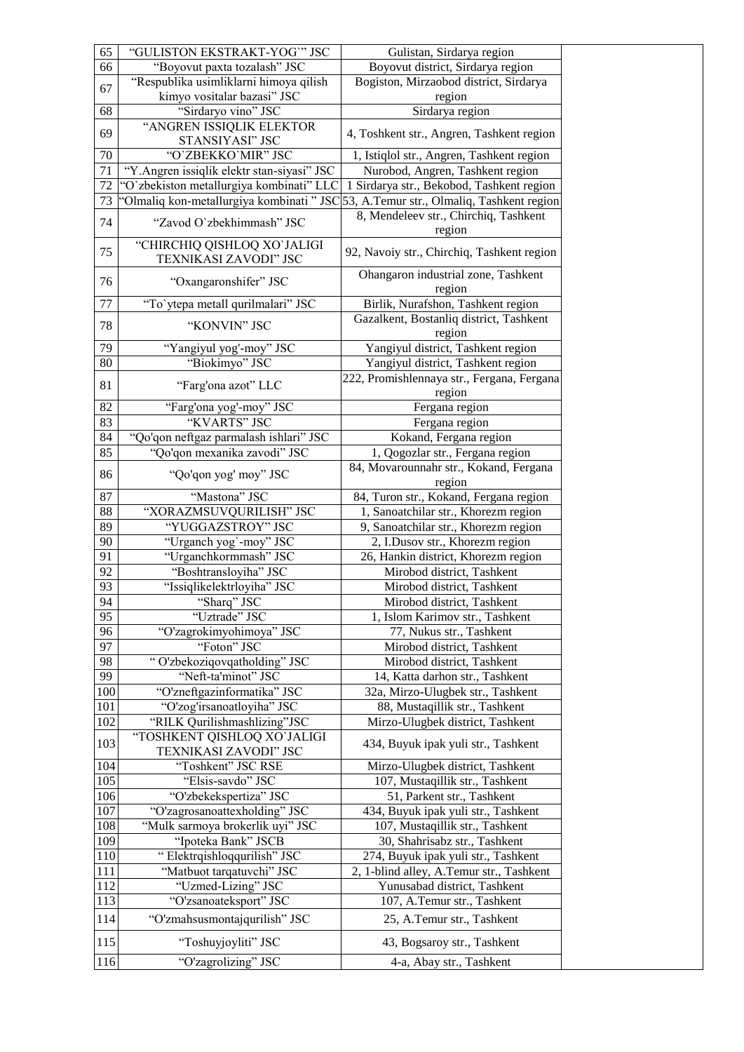| 65  | "GULISTON EKSTRAKT-YOG"" JSC                                                         | Gulistan, Sirdarya region                         |
|-----|--------------------------------------------------------------------------------------|---------------------------------------------------|
| 66  | "Boyovut paxta tozalash" JSC                                                         | Boyovut district, Sirdarya region                 |
| 67  | "Respublika usimliklarni himoya qilish                                               | Bogiston, Mirzaobod district, Sirdarya            |
|     | kimyo vositalar bazasi" JSC                                                          | region                                            |
| 68  | "Sirdaryo vino" JSC                                                                  | Sirdarya region                                   |
| 69  | "ANGREN ISSIQLIK ELEKTOR<br>STANSIYASI" JSC                                          | 4, Toshkent str., Angren, Tashkent region         |
| 70  | "O'ZBEKKO'MIR" JSC                                                                   | 1, Istiqlol str., Angren, Tashkent region         |
| 71  | "Y.Angren issiqlik elektr stan-siyasi" JSC                                           | Nurobod, Angren, Tashkent region                  |
| 72  | "O'zbekiston metallurgiya kombinati" LLC                                             | 1 Sirdarya str., Bekobod, Tashkent region         |
| 73  | 'Olmaliq kon-metallurgiya kombinati " JSC 53, A.Temur str., Olmaliq, Tashkent region |                                                   |
| 74  | "Zavod O'zbekhimmash" JSC                                                            | 8, Mendeleev str., Chirchiq, Tashkent<br>region   |
| 75  | "CHIRCHIQ QISHLOQ XO`JALIGI<br>TEXNIKASI ZAVODI" JSC                                 | 92, Navoiy str., Chirchiq, Tashkent region        |
| 76  | "Oxangaronshifer" JSC                                                                | Ohangaron industrial zone, Tashkent<br>region     |
| 77  | "To'ytepa metall qurilmalari" JSC                                                    | Birlik, Nurafshon, Tashkent region                |
| 78  | "KONVIN" JSC                                                                         | Gazalkent, Bostanliq district, Tashkent<br>region |
| 79  | "Yangiyul yog'-moy" JSC                                                              | Yangiyul district, Tashkent region                |
| 80  | "Biokimyo" JSC                                                                       | Yangiyul district, Tashkent region                |
| 81  | "Farg'ona azot" LLC                                                                  | 222, Promishlennaya str., Fergana, Fergana        |
|     |                                                                                      | region                                            |
| 82  | "Farg'ona yog'-moy" JSC                                                              | Fergana region                                    |
| 83  | "KVARTS" JSC                                                                         | Fergana region                                    |
| 84  | "Qo'qon neftgaz parmalash ishlari" JSC                                               | Kokand, Fergana region                            |
| 85  | "Qo'qon mexanika zavodi" JSC                                                         | 1, Qogozlar str., Fergana region                  |
| 86  | "Qo'qon yog' moy" JSC                                                                | 84, Movarounnahr str., Kokand, Fergana<br>region  |
| 87  | "Mastona" JSC                                                                        | 84, Turon str., Kokand, Fergana region            |
| 88  | "XORAZMSUVQURILISH" JSC                                                              | 1, Sanoatchilar str., Khorezm region              |
| 89  | "YUGGAZSTROY" JSC                                                                    | 9, Sanoatchilar str., Khorezm region              |
| 90  | "Urganch yog`-moy" JSC                                                               | 2, I.Dusov str., Khorezm region                   |
| 91  | "Urganchkormmash" JSC                                                                | 26, Hankin district, Khorezm region               |
| 92  | "Boshtransloyiha" JSC                                                                | Mirobod district, Tashkent                        |
| 93  | "Issiqlikelektrloyiha" JSC                                                           | Mirobod district, Tashkent                        |
| 94  | "Sharq" JSC                                                                          | Mirobod district, Tashkent                        |
| 95  | "Uztrade" JSC                                                                        | 1, Islom Karimov str., Tashkent                   |
| 96  | "O'zagrokimyohimoya" JSC                                                             | 77, Nukus str., Tashkent                          |
| 97  | "Foton" JSC                                                                          | Mirobod district, Tashkent                        |
| 98  | " O'zbekoziqovqatholding" JSC                                                        | Mirobod district, Tashkent                        |
| 99  | "Neft-ta'minot" JSC                                                                  | 14, Katta darhon str., Tashkent                   |
| 100 | "O'zneftgazinformatika" JSC                                                          | 32a, Mirzo-Ulugbek str., Tashkent                 |
| 101 | "O'zog'irsanoatloyiha" JSC                                                           | 88, Mustaqillik str., Tashkent                    |
| 102 | "RILK Qurilishmashlizing"JSC                                                         | Mirzo-Ulugbek district, Tashkent                  |
|     | "TOSHKENT QISHLOQ XO`JALIGI                                                          |                                                   |
| 103 | TEXNIKASI ZAVODI" JSC                                                                | 434, Buyuk ipak yuli str., Tashkent               |
| 104 | "Toshkent" JSC RSE                                                                   | Mirzo-Ulugbek district, Tashkent                  |
| 105 |                                                                                      |                                                   |
|     | "Elsis-savdo" JSC                                                                    | 107, Mustaqillik str., Tashkent                   |
| 106 | "O'zbekekspertiza" JSC                                                               | 51, Parkent str., Tashkent                        |
| 107 | "O'zagrosanoattexholding" JSC                                                        | 434, Buyuk ipak yuli str., Tashkent               |
| 108 | "Mulk sarmoya brokerlik uyi" JSC                                                     | 107, Mustaqillik str., Tashkent                   |
| 109 | "Ipoteka Bank" JSCB                                                                  | 30, Shahrisabz str., Tashkent                     |
| 110 | "Elektrqishloqqurilish" JSC                                                          | 274, Buyuk ipak yuli str., Tashkent               |
| 111 | "Matbuot tarqatuvchi" JSC                                                            | 2, 1-blind alley, A.Temur str., Tashkent          |
| 112 | "Uzmed-Lizing" JSC                                                                   | Yunusabad district, Tashkent                      |
| 113 | "O'zsanoateksport" JSC                                                               | 107, A.Temur str., Tashkent                       |
| 114 | "O'zmahsusmontajqurilish" JSC                                                        | 25, A.Temur str., Tashkent                        |
| 115 | "Toshuyjoyliti" JSC                                                                  | 43, Bogsaroy str., Tashkent                       |
| 116 | "O'zagrolizing" JSC                                                                  | 4-a, Abay str., Tashkent                          |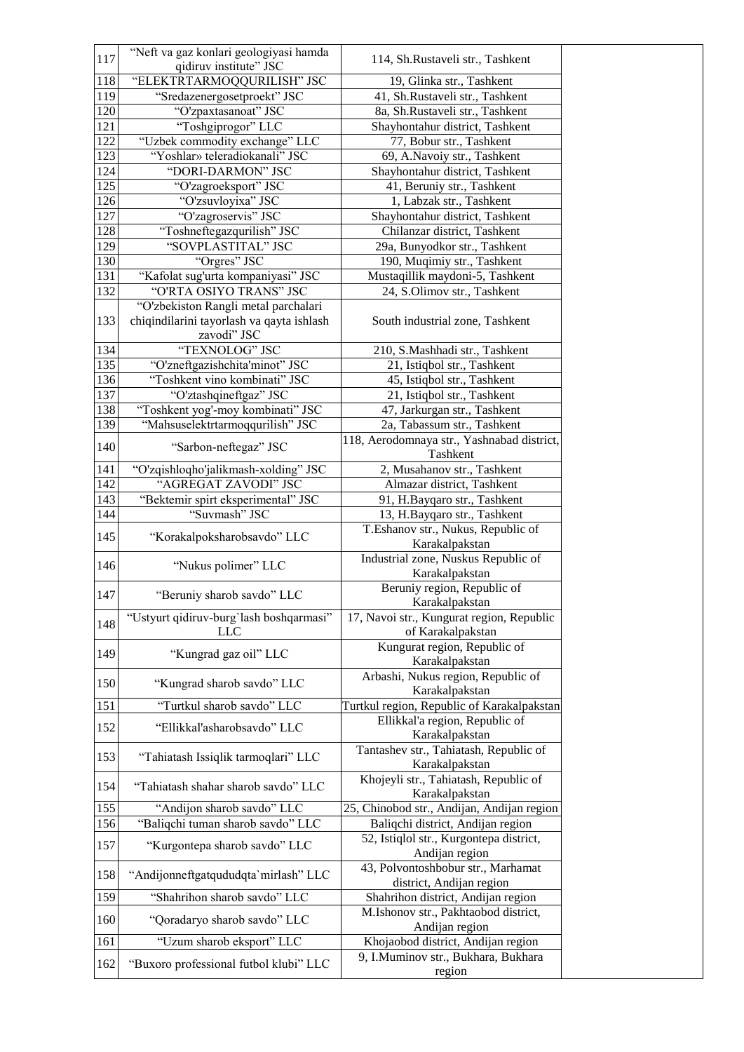| 117        | "Neft va gaz konlari geologiyasi hamda                                                           | 114, Sh.Rustaveli str., Tashkent                               |
|------------|--------------------------------------------------------------------------------------------------|----------------------------------------------------------------|
|            | qidiruv institute" JSC                                                                           |                                                                |
| 118<br>119 | "ELEKTRTARMOQQURILISH" JSC<br>"Sredazenergosetproekt" JSC                                        | 19, Glinka str., Tashkent<br>41, Sh.Rustaveli str., Tashkent   |
| 120        | "O'zpaxtasanoat" JSC                                                                             | 8a, Sh.Rustaveli str., Tashkent                                |
| 121        | "Toshgiprogor" LLC                                                                               | Shayhontahur district, Tashkent                                |
| 122        | "Uzbek commodity exchange" LLC                                                                   | 77, Bobur str., Tashkent                                       |
| 123        | "Yoshlar» teleradiokanali" JSC                                                                   | 69, A.Navoiy str., Tashkent                                    |
| 124        | "DORI-DARMON" JSC                                                                                | Shayhontahur district, Tashkent                                |
| 125        | "O'zagroeksport" JSC                                                                             | 41, Beruniy str., Tashkent                                     |
| 126        | "O'zsuvloyixa" JSC                                                                               | 1, Labzak str., Tashkent                                       |
| 127        | "O'zagroservis" JSC                                                                              | Shayhontahur district, Tashkent                                |
| 128        | "Toshneftegazqurilish" JSC                                                                       | Chilanzar district, Tashkent                                   |
| 129        | "SOVPLASTITAL" JSC                                                                               | 29a, Bunyodkor str., Tashkent                                  |
| 130        | "Orgres" JSC                                                                                     | 190, Muqimiy str., Tashkent                                    |
| 131        | "Kafolat sug'urta kompaniyasi" JSC                                                               | Mustaqillik maydoni-5, Tashkent                                |
| 132        | "O'RTA OSIYO TRANS" JSC                                                                          | 24, S.Olimov str., Tashkent                                    |
| 133        | "O'zbekiston Rangli metal parchalari<br>chiqindilarini tayorlash va qayta ishlash<br>zavodi" JSC | South industrial zone, Tashkent                                |
| 134        | "TEXNOLOG" JSC                                                                                   | 210, S.Mashhadi str., Tashkent                                 |
| 135        | "O'zneftgazishchita'minot" JSC                                                                   | 21, Istiqbol str., Tashkent                                    |
| 136        | "Toshkent vino kombinati" JSC                                                                    | 45, Istiqbol str., Tashkent                                    |
| 137        | "O'ztashqineftgaz" JSC                                                                           | 21, Istiqbol str., Tashkent                                    |
| 138        | "Toshkent yog'-moy kombinati" JSC                                                                | 47, Jarkurgan str., Tashkent                                   |
| 139        | "Mahsuselektrtarmoqqurilish" JSC                                                                 | 2a, Tabassum str., Tashkent                                    |
| 140        | "Sarbon-neftegaz" JSC                                                                            | 118, Aerodomnaya str., Yashnabad district,<br>Tashkent         |
| 141        | "O'zqishloqho'jalikmash-xolding" JSC                                                             | 2, Musahanov str., Tashkent                                    |
| 142        | "AGREGAT ZAVODI" JSC                                                                             | Almazar district, Tashkent                                     |
| 143        | "Bektemir spirt eksperimental" JSC                                                               | 91, H.Bayqaro str., Tashkent                                   |
| 144        | "Suvmash" JSC                                                                                    | 13, H.Bayqaro str., Tashkent                                   |
| 145        | "Korakalpoksharobsavdo" LLC                                                                      | T.Eshanov str., Nukus, Republic of<br>Karakalpakstan           |
| 146        | "Nukus polimer" LLC                                                                              | Industrial zone, Nuskus Republic of<br>Karakalpakstan          |
| 147        | "Beruniy sharob savdo" LLC                                                                       | Beruniy region, Republic of<br>Karakalpakstan                  |
| 148        | "Ustyurt qidiruv-burg'lash boshqarmasi"<br><b>LLC</b>                                            | 17, Navoi str., Kungurat region, Republic<br>of Karakalpakstan |
| 149        | "Kungrad gaz oil" LLC                                                                            | Kungurat region, Republic of<br>Karakalpakstan                 |
| 150        | "Kungrad sharob savdo" LLC                                                                       | Arbashi, Nukus region, Republic of<br>Karakalpakstan           |
| 151        | "Turtkul sharob savdo" LLC                                                                       | Turtkul region, Republic of Karakalpakstan                     |
| 152        | "Ellikkal'asharobsavdo" LLC                                                                      | Ellikkal'a region, Republic of<br>Karakalpakstan               |
| 153        | "Tahiatash Issiqlik tarmoqlari" LLC                                                              | Tantashev str., Tahiatash, Republic of<br>Karakalpakstan       |
| 154        | "Tahiatash shahar sharob savdo" LLC                                                              | Khojeyli str., Tahiatash, Republic of<br>Karakalpakstan        |
| 155        | "Andijon sharob savdo" LLC                                                                       | 25, Chinobod str., Andijan, Andijan region                     |
| 156        | "Baliqchi tuman sharob savdo" LLC                                                                | Baliqchi district, Andijan region                              |
| 157        | "Kurgontepa sharob savdo" LLC                                                                    | 52, Istiqlol str., Kurgontepa district,<br>Andijan region      |
| 158        | "Andijonneftgatqududqta`mirlash" LLC                                                             | 43, Polvontoshbobur str., Marhamat<br>district, Andijan region |
| 159        | "Shahrihon sharob savdo" LLC                                                                     | Shahrihon district, Andijan region                             |
| 160        | "Qoradaryo sharob savdo" LLC                                                                     | M.Ishonov str., Pakhtaobod district,<br>Andijan region         |
| 161        |                                                                                                  |                                                                |
|            | "Uzum sharob eksport" LLC                                                                        | Khojaobod district, Andijan region                             |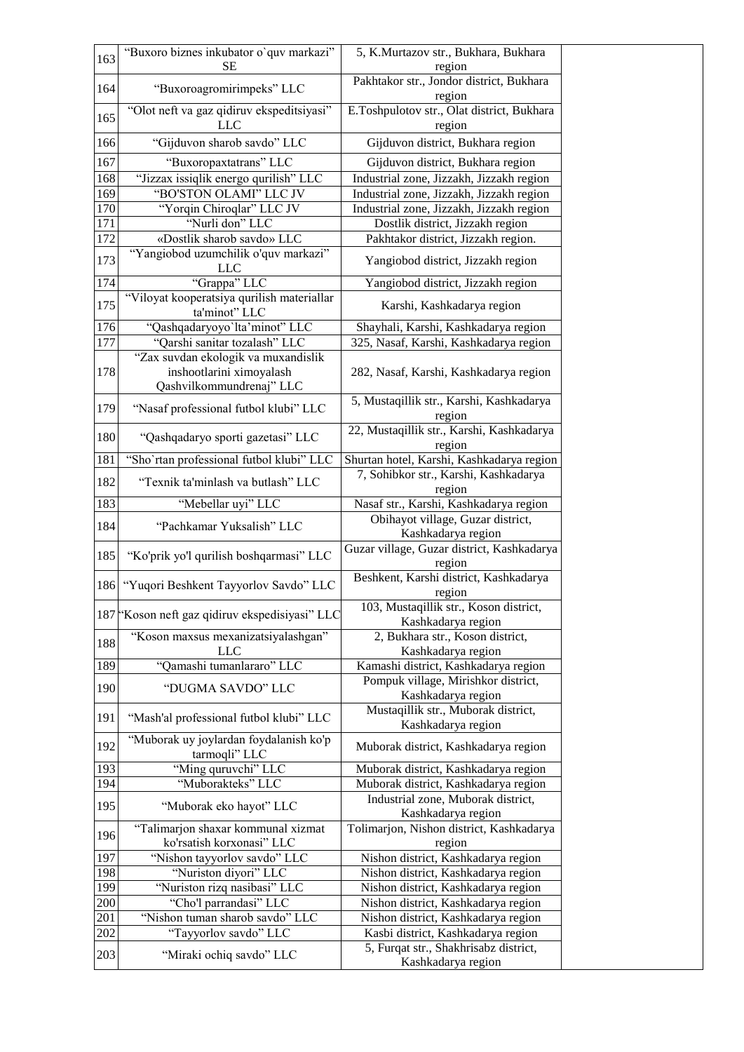| 163              | "Buxoro biznes inkubator o'quv markazi"<br><b>SE</b>                                        | 5, K.Murtazov str., Bukhara, Bukhara<br>region                                                    |
|------------------|---------------------------------------------------------------------------------------------|---------------------------------------------------------------------------------------------------|
| 164              | "Buxoroagromirimpeks" LLC                                                                   | Pakhtakor str., Jondor district, Bukhara<br>region                                                |
| 165              | "Olot neft va gaz qidiruv ekspeditsiyasi"<br><b>LLC</b>                                     | E.Toshpulotov str., Olat district, Bukhara<br>region                                              |
| 166              | "Gijduvon sharob savdo" LLC                                                                 | Gijduvon district, Bukhara region                                                                 |
| 167              | "Buxoropaxtatrans" LLC                                                                      | Gijduvon district, Bukhara region                                                                 |
| <sup>168</sup>   | "Jizzax issiqlik energo qurilish" LLC                                                       | Industrial zone, Jizzakh, Jizzakh region                                                          |
| $\overline{1}69$ | "BO'STON OLAMI" LLC JV                                                                      | Industrial zone, Jizzakh, Jizzakh region                                                          |
| 170<br>171       | "Yorqin Chiroqlar" LLC JV<br>"Nurli don" LLC                                                | Industrial zone, Jizzakh, Jizzakh region<br>Dostlik district, Jizzakh region                      |
| 172              | «Dostlik sharob savdo» LLC                                                                  | Pakhtakor district, Jizzakh region.                                                               |
| 173              | "Yangiobod uzumchilik o'quv markazi"<br><b>LLC</b>                                          | Yangiobod district, Jizzakh region                                                                |
| 174              | "Grappa" LLC                                                                                | Yangiobod district, Jizzakh region                                                                |
| 175              | "Viloyat kooperatsiya qurilish materiallar<br>ta'minot" LLC                                 | Karshi, Kashkadarya region                                                                        |
| 176              | "Qashqadaryoyo'lta'minot" LLC                                                               | Shayhali, Karshi, Kashkadarya region                                                              |
| 177              | "Qarshi sanitar tozalash" LLC                                                               | 325, Nasaf, Karshi, Kashkadarya region                                                            |
| 178              | "Zax suvdan ekologik va muxandislik<br>inshootlarini ximoyalash<br>Qashvilkommundrenaj" LLC | 282, Nasaf, Karshi, Kashkadarya region                                                            |
| 179              | "Nasaf professional futbol klubi" LLC                                                       | 5, Mustaqillik str., Karshi, Kashkadarya<br>region                                                |
| 180              | "Qashqadaryo sporti gazetasi" LLC                                                           | 22, Mustaqillik str., Karshi, Kashkadarya<br>region                                               |
| 181              | "Sho'rtan professional futbol klubi" LLC                                                    | Shurtan hotel, Karshi, Kashkadarya region                                                         |
| 182              | "Texnik ta'minlash va butlash" LLC                                                          | 7, Sohibkor str., Karshi, Kashkadarya<br>region                                                   |
| 183              | "Mebellar uyi" LLC                                                                          | Nasaf str., Karshi, Kashkadarya region                                                            |
| 184              | "Pachkamar Yuksalish" LLC                                                                   | Obihayot village, Guzar district,<br>Kashkadarya region                                           |
| 185              | "Ko'prik yo'l qurilish boshqarmasi" LLC                                                     | Guzar village, Guzar district, Kashkadarya<br>region                                              |
| 186              | "Yuqori Beshkent Tayyorlov Savdo" LLC                                                       | Beshkent, Karshi district, Kashkadarya<br>region                                                  |
|                  | 187 Koson neft gaz qidiruv ekspedisiyasi" LLC                                               | 103, Mustaqillik str., Koson district,<br>Kashkadarya region                                      |
| 188              | "Koson maxsus mexanizatsiyalashgan"<br><b>LLC</b>                                           | 2, Bukhara str., Koson district,<br>Kashkadarya region                                            |
| 189              | "Qamashi tumanlararo" LLC                                                                   | Kamashi district, Kashkadarya region                                                              |
| 190              | "DUGMA SAVDO" LLC                                                                           | Pompuk village, Mirishkor district,<br>Kashkadarya region                                         |
| 191              | "Mash'al professional futbol klubi" LLC                                                     | Mustaqillik str., Muborak district,<br>Kashkadarya region                                         |
| 192              | "Muborak uy joylardan foydalanish ko'p<br>tarmoqli" LLC                                     | Muborak district, Kashkadarya region                                                              |
| 193              | "Ming quruvchi" LLC                                                                         | Muborak district, Kashkadarya region                                                              |
| 194              | "Muborakteks" LLC                                                                           | Muborak district, Kashkadarya region                                                              |
| 195              | "Muborak eko hayot" LLC                                                                     | Industrial zone, Muborak district,<br>Kashkadarya region                                          |
| 196              | "Talimarjon shaxar kommunal xizmat<br>ko'rsatish korxonasi" LLC                             | Tolimarjon, Nishon district, Kashkadarya<br>region                                                |
| 197              | "Nishon tayyorlov savdo" LLC                                                                | Nishon district, Kashkadarya region                                                               |
| 198              | "Nuriston diyori" LLC                                                                       | Nishon district, Kashkadarya region                                                               |
| 199              | "Nuriston rizq nasibasi" LLC                                                                | Nishon district, Kashkadarya region                                                               |
| 200              | "Cho'l parrandasi" LLC                                                                      | Nishon district, Kashkadarya region                                                               |
| 201<br>202       | "Nishon tuman sharob savdo" LLC<br>"Tayyorlov savdo" LLC                                    | Nishon district, Kashkadarya region                                                               |
| 203              | "Miraki ochiq savdo" LLC                                                                    | Kasbi district, Kashkadarya region<br>5, Furqat str., Shakhrisabz district,<br>Kashkadarya region |
|                  |                                                                                             |                                                                                                   |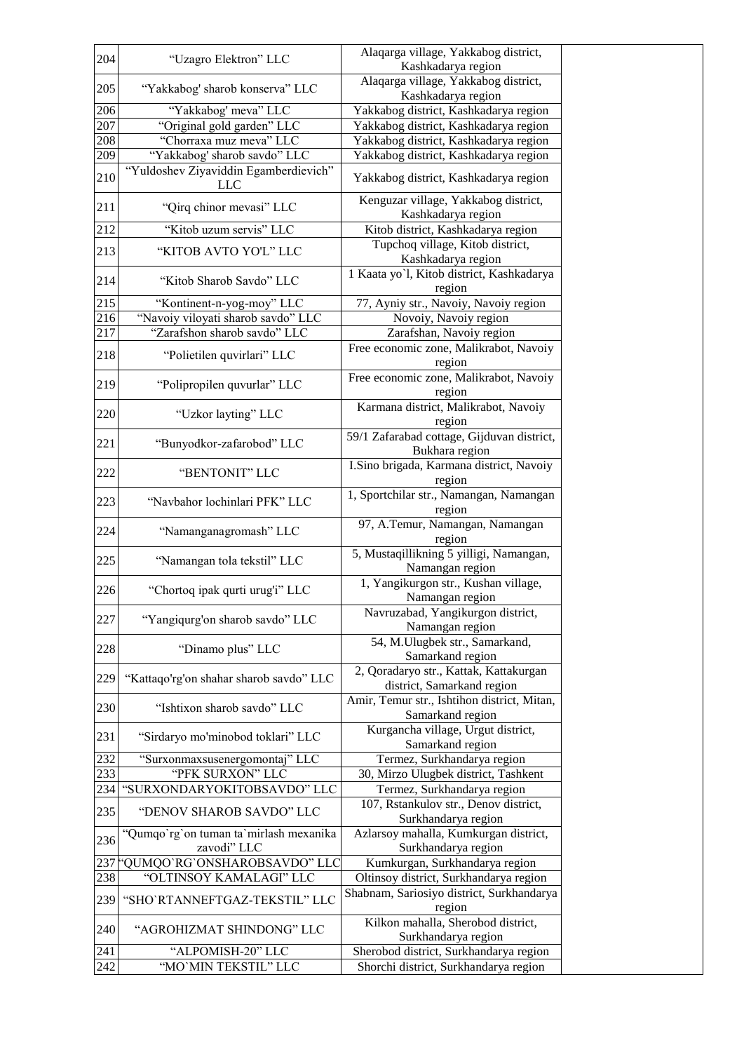| 204 | "Uzagro Elektron" LLC                                 | Alaqarga village, Yakkabog district,                                 |
|-----|-------------------------------------------------------|----------------------------------------------------------------------|
|     |                                                       | Kashkadarya region<br>Alaqarga village, Yakkabog district,           |
| 205 | "Yakkabog' sharob konserva" LLC                       | Kashkadarya region                                                   |
| 206 | "Yakkabog' meva" LLC                                  | Yakkabog district, Kashkadarya region                                |
| 207 | "Original gold garden" LLC                            | Yakkabog district, Kashkadarya region                                |
| 208 | "Chorraxa muz meva" LLC                               | Yakkabog district, Kashkadarya region                                |
| 209 | "Yakkabog' sharob savdo" LLC                          | Yakkabog district, Kashkadarya region                                |
| 210 | "Yuldoshev Ziyaviddin Egamberdievich"<br><b>LLC</b>   | Yakkabog district, Kashkadarya region                                |
| 211 | "Qirq chinor mevasi" LLC                              | Kenguzar village, Yakkabog district,                                 |
|     |                                                       | Kashkadarya region                                                   |
| 212 | "Kitob uzum servis" LLC                               | Kitob district, Kashkadarya region                                   |
| 213 | "KITOB AVTO YO'L" LLC                                 | Tupchoq village, Kitob district,<br>Kashkadarya region               |
| 214 | "Kitob Sharob Savdo" LLC                              | 1 Kaata yo'l, Kitob district, Kashkadarya<br>region                  |
| 215 | "Kontinent-n-yog-moy" LLC                             | 77, Ayniy str., Navoiy, Navoiy region                                |
| 216 | "Navoiy viloyati sharob savdo" LLC                    | Novoiy, Navoiy region                                                |
| 217 | "Zarafshon sharob savdo" LLC                          | Zarafshan, Navoiy region                                             |
| 218 | "Polietilen quvirlari" LLC                            | Free economic zone, Malikrabot, Navoiy<br>region                     |
| 219 | "Polipropilen quvurlar" LLC                           | Free economic zone, Malikrabot, Navoiy<br>region                     |
| 220 | "Uzkor layting" LLC                                   | Karmana district, Malikrabot, Navoiy<br>region                       |
| 221 | "Bunyodkor-zafarobod" LLC                             | 59/1 Zafarabad cottage, Gijduvan district,<br>Bukhara region         |
| 222 | "BENTONIT" LLC                                        | I.Sino brigada, Karmana district, Navoiy<br>region                   |
| 223 | "Navbahor lochinlari PFK" LLC                         | 1, Sportchilar str., Namangan, Namangan<br>region                    |
| 224 | "Namanganagromash" LLC                                | 97, A.Temur, Namangan, Namangan<br>region                            |
| 225 | "Namangan tola tekstil" LLC                           | 5, Mustaqillikning 5 yilligi, Namangan,<br>Namangan region           |
| 226 | "Chortoq ipak qurti urug'i" LLC                       | 1, Yangikurgon str., Kushan village,<br>Namangan region              |
| 227 | "Yangiqurg'on sharob savdo" LLC                       | Navruzabad, Yangikurgon district,<br>Namangan region                 |
| 228 | "Dinamo plus" LLC                                     | 54, M.Ulugbek str., Samarkand,<br>Samarkand region                   |
| 229 | "Kattaqo'rg'on shahar sharob savdo" LLC               | 2, Qoradaryo str., Kattak, Kattakurgan<br>district, Samarkand region |
| 230 | "Ishtixon sharob savdo" LLC                           | Amir, Temur str., Ishtihon district, Mitan,<br>Samarkand region      |
| 231 | "Sirdaryo mo'minobod toklari" LLC                     | Kurgancha village, Urgut district,<br>Samarkand region               |
| 232 | "Surxonmaxsusenergomontaj" LLC                        | Termez, Surkhandarya region                                          |
| 233 | "PFK SURXON" LLC                                      | 30, Mirzo Ulugbek district, Tashkent                                 |
| 234 | "SURXONDARYOKITOBSAVDO" LLC                           | Termez, Surkhandarya region                                          |
| 235 | "DENOV SHAROB SAVDO" LLC                              | 107, Rstankulov str., Denov district,<br>Surkhandarya region         |
| 236 | "Qumqo'rg'on tuman ta'mirlash mexanika<br>zavodi" LLC | Azlarsoy mahalla, Kumkurgan district,<br>Surkhandarya region         |
| 237 | "QUMQO`RG`ONSHAROBSAVDO" LLC                          | Kumkurgan, Surkhandarya region                                       |
| 238 | "OLTINSOY KAMALAGI" LLC                               | Oltinsoy district, Surkhandarya region                               |
| 239 | "SHO'RTANNEFTGAZ-TEKSTIL" LLC                         | Shabnam, Sariosiyo district, Surkhandarya<br>region                  |
| 240 | "AGROHIZMAT SHINDONG" LLC                             | Kilkon mahalla, Sherobod district,                                   |
| 241 | "ALPOMISH-20" LLC                                     | Surkhandarya region<br>Sherobod district, Surkhandarya region        |
| 242 | "MO'MIN TEKSTIL" LLC                                  | Shorchi district, Surkhandarya region                                |
|     |                                                       |                                                                      |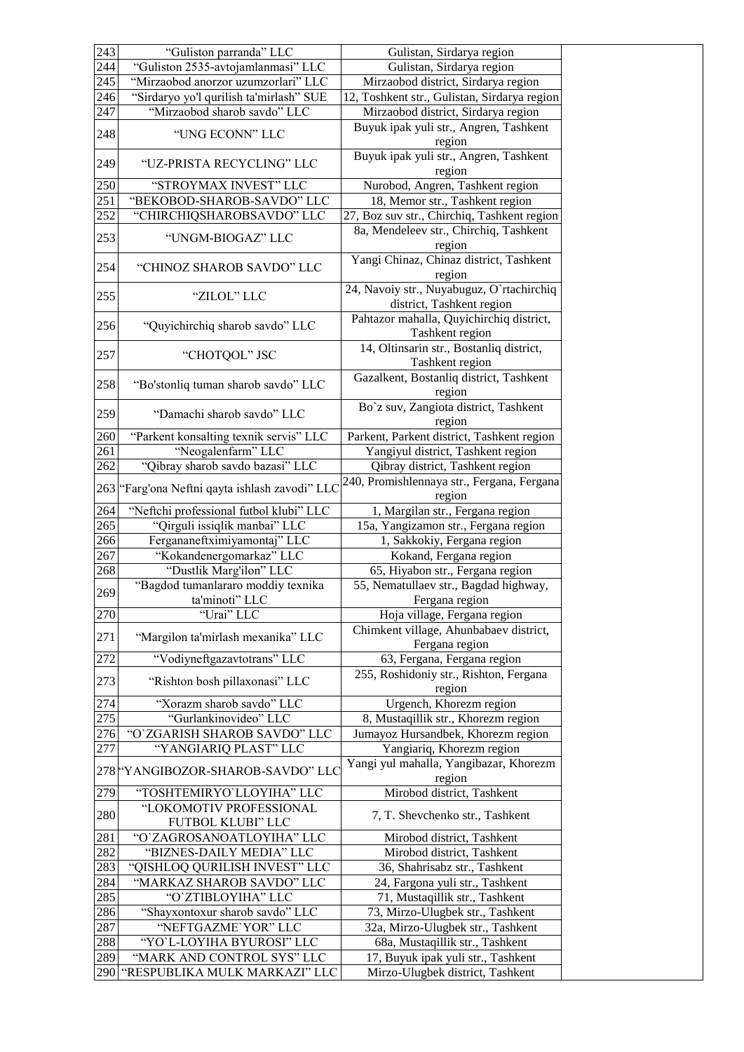| 243              | "Guliston parranda" LLC                                     | Gulistan, Sirdarya region                                              |
|------------------|-------------------------------------------------------------|------------------------------------------------------------------------|
| 244              | "Guliston 2535-avtojamlanmasi" LLC                          | Gulistan, Sirdarya region                                              |
| 245              | "Mirzaobod anorzor uzumzorlari" LLC                         | Mirzaobod district, Sirdarya region                                    |
| 246              | "Sirdaryo yo'l qurilish ta'mirlash" SUE                     | 12, Toshkent str., Gulistan, Sirdarya region                           |
| 247              | "Mirzaobod sharob savdo" LLC                                | Mirzaobod district, Sirdarya region                                    |
| 248              | "UNG ECONN" LLC                                             | Buyuk ipak yuli str., Angren, Tashkent                                 |
|                  |                                                             | region                                                                 |
| 249              | "UZ-PRISTA RECYCLING" LLC                                   | Buyuk ipak yuli str., Angren, Tashkent                                 |
|                  |                                                             | region                                                                 |
| 250              | "STROYMAX INVEST" LLC                                       | Nurobod, Angren, Tashkent region                                       |
| $\overline{251}$ | "BEKOBOD-SHAROB-SAVDO" LLC                                  | 18, Memor str., Tashkent region                                        |
| 252              | "CHIRCHIQSHAROBSAVDO" LLC                                   | 27, Boz suv str., Chirchiq, Tashkent region                            |
| 253              | "UNGM-BIOGAZ" LLC                                           | 8a, Mendeleev str., Chirchiq, Tashkent                                 |
|                  |                                                             | region                                                                 |
| 254              | "CHINOZ SHAROB SAVDO" LLC                                   | Yangi Chinaz, Chinaz district, Tashkent                                |
|                  |                                                             | region                                                                 |
| 255              | "ZILOL" LLC                                                 | 24, Navoiy str., Nuyabuguz, O`rtachirchiq                              |
|                  |                                                             | district, Tashkent region                                              |
| 256              | "Quyichirchiq sharob savdo" LLC                             | Pahtazor mahalla, Quyichirchiq district,                               |
|                  |                                                             | Tashkent region                                                        |
| 257              | "CHOTQOL" JSC                                               | 14, Oltinsarin str., Bostanliq district,                               |
|                  |                                                             | Tashkent region                                                        |
| 258              | "Bo'stonliq tuman sharob savdo" LLC                         | Gazalkent, Bostanliq district, Tashkent                                |
|                  |                                                             | region<br>Bo'z suv, Zangiota district, Tashkent                        |
| 259              | "Damachi sharob savdo" LLC                                  | region                                                                 |
| 260              | "Parkent konsalting texnik servis" LLC                      | Parkent, Parkent district, Tashkent region                             |
| 261              | "Neogalenfarm" LLC                                          | Yangiyul district, Tashkent region                                     |
| 262              | "Qibray sharob savdo bazasi" LLC                            | Qibray district, Tashkent region                                       |
|                  |                                                             | 240, Promishlennaya str., Fergana, Fergana                             |
| 263              | "Farg'ona Neftni qayta ishlash zavodi" LLC                  | region                                                                 |
| 264              | "Neftchi professional futbol klubi" LLC                     | 1, Margilan str., Fergana region                                       |
| 265              | "Qirguli issiqlik manbai" LLC                               | 15a, Yangizamon str., Fergana region                                   |
| 266              | Fergananeftximiyamontaj" LLC                                | 1, Sakkokiy, Fergana region                                            |
| 267              | "Kokandenergomarkaz" LLC                                    | Kokand, Fergana region                                                 |
| 268              | "Dustlik Marg'ilon" LLC                                     | 65, Hiyabon str., Fergana region                                       |
|                  | "Bagdod tumanlararo moddiy texnika                          | 55, Nematullaev str., Bagdad highway,                                  |
| 269              | ta'minoti" LLC                                              | Fergana region                                                         |
| 270              | "Urai" LLC                                                  | Hoja village, Fergana region                                           |
| 271              | "Margilon ta'mirlash mexanika" LLC                          | Chimkent village, Ahunbabaev district,                                 |
|                  |                                                             | Fergana region                                                         |
| 272              | "Vodiyneftgazavtotrans" LLC                                 | 63, Fergana, Fergana region                                            |
| 273              | "Rishton bosh pillaxonasi" LLC                              | 255, Roshidoniy str., Rishton, Fergana                                 |
|                  |                                                             | region                                                                 |
| 274              |                                                             |                                                                        |
| 275              | "Xorazm sharob savdo" LLC                                   | Urgench, Khorezm region                                                |
|                  | "Gurlankinovideo" LLC                                       | 8, Mustaqillik str., Khorezm region                                    |
| 276              | "O'ZGARISH SHAROB SAVDO" LLC                                | Jumayoz Hursandbek, Khorezm region                                     |
| 277              | "YANGIARIQ PLAST" LLC                                       | Yangiariq, Khorezm region                                              |
|                  |                                                             | Yangi yul mahalla, Yangibazar, Khorezm                                 |
|                  | 278 "YANGIBOZOR-SHAROB-SAVDO" LLC                           | region                                                                 |
| 279              | "TOSHTEMIRYO'LLOYIHA" LLC                                   | Mirobod district, Tashkent                                             |
| 280              | "LOKOMOTIV PROFESSIONAL                                     | 7, T. Shevchenko str., Tashkent                                        |
|                  | FUTBOL KLUBI" LLC                                           |                                                                        |
| 281              | "O'ZAGROSANOATLOYIHA" LLC                                   | Mirobod district, Tashkent                                             |
| 282              | "BIZNES-DAILY MEDIA" LLC                                    | Mirobod district, Tashkent                                             |
| 283              | "QISHLOQ QURILISH INVEST" LLC                               | 36, Shahrisabz str., Tashkent                                          |
| 284              | "MARKAZ SHAROB SAVDO" LLC                                   | 24, Fargona yuli str., Tashkent                                        |
| 285              | "O'ZTIBLOYIHA" LLC                                          | 71, Mustaqillik str., Tashkent                                         |
| 286              | "Shayxontoxur sharob savdo" LLC                             | 73, Mirzo-Ulugbek str., Tashkent                                       |
| 287              | "NEFTGAZME`YOR" LLC                                         | 32a, Mirzo-Ulugbek str., Tashkent                                      |
| 288              | "YO'L-LOYIHA BYUROSI" LLC                                   | 68a, Mustaqillik str., Tashkent                                        |
| 289<br>290       | "MARK AND CONTROL SYS" LLC<br>"RESPUBLIKA MULK MARKAZI" LLC | 17, Buyuk ipak yuli str., Tashkent<br>Mirzo-Ulugbek district, Tashkent |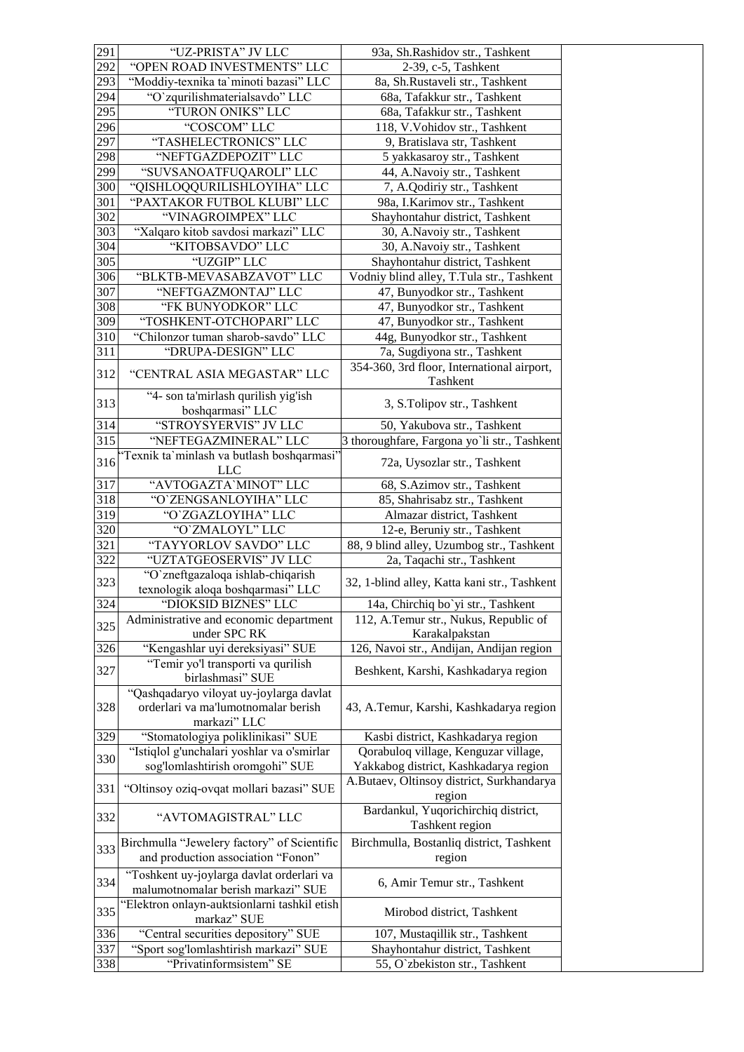| 291        | "UZ-PRISTA" JV LLC                                               | 93a, Sh.Rashidov str., Tashkent                                   |
|------------|------------------------------------------------------------------|-------------------------------------------------------------------|
| 292        | "OPEN ROAD INVESTMENTS" LLC                                      | 2-39, c-5, Tashkent                                               |
| 293        | "Moddiy-texnika ta'minoti bazasi" LLC                            | 8a, Sh.Rustaveli str., Tashkent                                   |
| 294        | "O'zqurilishmaterialsavdo" LLC                                   | 68a, Tafakkur str., Tashkent                                      |
| 295        | "TURON ONIKS" LLC                                                | 68a, Tafakkur str., Tashkent                                      |
| 296        | "COSCOM" LLC                                                     | 118, V. Vohidov str., Tashkent                                    |
| 297        | "TASHELECTRONICS" LLC                                            | 9, Bratislava str, Tashkent                                       |
| 298        | "NEFTGAZDEPOZIT" LLC                                             | 5 yakkasaroy str., Tashkent                                       |
| 299        | "SUVSANOATFUQAROLI" LLC                                          | 44, A.Navoiy str., Tashkent                                       |
| 300        | "QISHLOQQURILISHLOYIHA" LLC                                      | 7, A.Qodiriy str., Tashkent                                       |
| 301        | "PAXTAKOR FUTBOL KLUBI" LLC                                      | 98a, I.Karimov str., Tashkent                                     |
| 302        | "VINAGROIMPEX" LLC                                               | Shayhontahur district, Tashkent                                   |
| 303        | "Xalqaro kitob savdosi markazi" LLC                              | 30, A.Navoiy str., Tashkent                                       |
| 304        | "KITOBSAVDO" LLC                                                 | 30, A.Navoiy str., Tashkent                                       |
| 305        | "UZGIP" LLC                                                      | Shayhontahur district, Tashkent                                   |
| 306        | "BLKTB-MEVASABZAVOT" LLC                                         | Vodniy blind alley, T.Tula str., Tashkent                         |
| 307        | "NEFTGAZMONTAJ" LLC                                              | 47, Bunyodkor str., Tashkent                                      |
| 308        | "FK BUNYODKOR" LLC                                               | 47, Bunyodkor str., Tashkent                                      |
| 309        | "TOSHKENT-OTCHOPARI" LLC                                         | 47, Bunyodkor str., Tashkent                                      |
| 310        | "Chilonzor tuman sharob-savdo" LLC                               | 44g, Bunyodkor str., Tashkent                                     |
| 311        | "DRUPA-DESIGN" LLC                                               | 7a, Sugdiyona str., Tashkent                                      |
|            |                                                                  | 354-360, 3rd floor, International airport,                        |
| 312        | "CENTRAL ASIA MEGASTAR" LLC                                      | Tashkent                                                          |
|            | "4- son ta'mirlash qurilish yig'ish                              |                                                                   |
| 313        | boshqarmasi" LLC                                                 | 3, S.Tolipov str., Tashkent                                       |
| 314        | "STROYSYERVIS" JV LLC                                            | 50, Yakubova str., Tashkent                                       |
| 315        | "NEFTEGAZMINERAL" LLC                                            | 3 thoroughfare, Fargona yo'li str., Tashkent                      |
|            | 'Texnik ta'minlash va butlash boshqarmasi'                       |                                                                   |
| 316        | <b>LLC</b>                                                       | 72a, Uysozlar str., Tashkent                                      |
| 317        | "AVTOGAZTA'MINOT" LLC                                            | 68, S.Azimov str., Tashkent                                       |
| 318        | "O'ZENGSANLOYIHA" LLC                                            | 85, Shahrisabz str., Tashkent                                     |
| 319        | "O'ZGAZLOYIHA" LLC                                               | Almazar district, Tashkent                                        |
|            |                                                                  |                                                                   |
| 320        | "O'ZMALOYL" LLC                                                  | 12-e, Beruniy str., Tashkent                                      |
| 321        | "TAYYORLOV SAVDO" LLC                                            | 88, 9 blind alley, Uzumbog str., Tashkent                         |
| 322        | "UZTATGEOSERVIS" JV LLC                                          | 2a, Taqachi str., Tashkent                                        |
|            | "O'zneftgazaloqa ishlab-chiqarish                                |                                                                   |
| 323        | texnologik aloqa boshqarmasi" LLC                                | 32, 1-blind alley, Katta kani str., Tashkent                      |
| 324        | "DIOKSID BIZNES" LLC                                             | 14a, Chirchiq bo`yi str., Tashkent                                |
|            | Administrative and economic department                           | 112, A.Temur str., Nukus, Republic of                             |
| 325        | under SPC RK                                                     | Karakalpakstan                                                    |
| 326        | "Kengashlar uyi dereksiyasi" SUE                                 | 126, Navoi str., Andijan, Andijan region                          |
|            | "Temir yo'l transporti va qurilish                               |                                                                   |
| 327        | birlashmasi" SUE                                                 | Beshkent, Karshi, Kashkadarya region                              |
|            | "Qashqadaryo viloyat uy-joylarga davlat                          |                                                                   |
| 328        | orderlari va ma'lumotnomalar berish                              | 43, A.Temur, Karshi, Kashkadarya region                           |
|            | markazi" LLC                                                     |                                                                   |
| 329        | "Stomatologiya poliklinikasi" SUE                                | Kasbi district, Kashkadarya region                                |
|            | "Istiqlol g'unchalari yoshlar va o'smirlar                       | Qorabuloq village, Kenguzar village,                              |
| 330        | sog'lomlashtirish oromgohi" SUE                                  | Yakkabog district, Kashkadarya region                             |
|            |                                                                  |                                                                   |
| 331        | "Oltinsoy oziq-ovqat mollari bazasi" SUE                         | A.Butaev, Oltinsoy district, Surkhandarya<br>region               |
|            |                                                                  | Bardankul, Yuqorichirchiq district,                               |
| 332        | "AVTOMAGISTRAL" LLC                                              | Tashkent region                                                   |
|            |                                                                  |                                                                   |
| 333        | Birchmulla "Jewelery factory" of Scientific                      | Birchmulla, Bostanliq district, Tashkent                          |
|            | and production association "Fonon"                               | region                                                            |
| 334        | "Toshkent uy-joylarga davlat orderlari va                        | 6, Amir Temur str., Tashkent                                      |
|            | malumotnomalar berish markazi" SUE                               |                                                                   |
| 335        | "Elektron onlayn-auktsionlarni tashkil etish                     | Mirobod district, Tashkent                                        |
|            | markaz" SUE                                                      |                                                                   |
| 336        | "Central securities depository" SUE                              | 107, Mustaqillik str., Tashkent                                   |
| 337<br>338 | "Sport sog'lomlashtirish markazi" SUE<br>"Privatinformsistem" SE | Shayhontahur district, Tashkent<br>55, O`zbekiston str., Tashkent |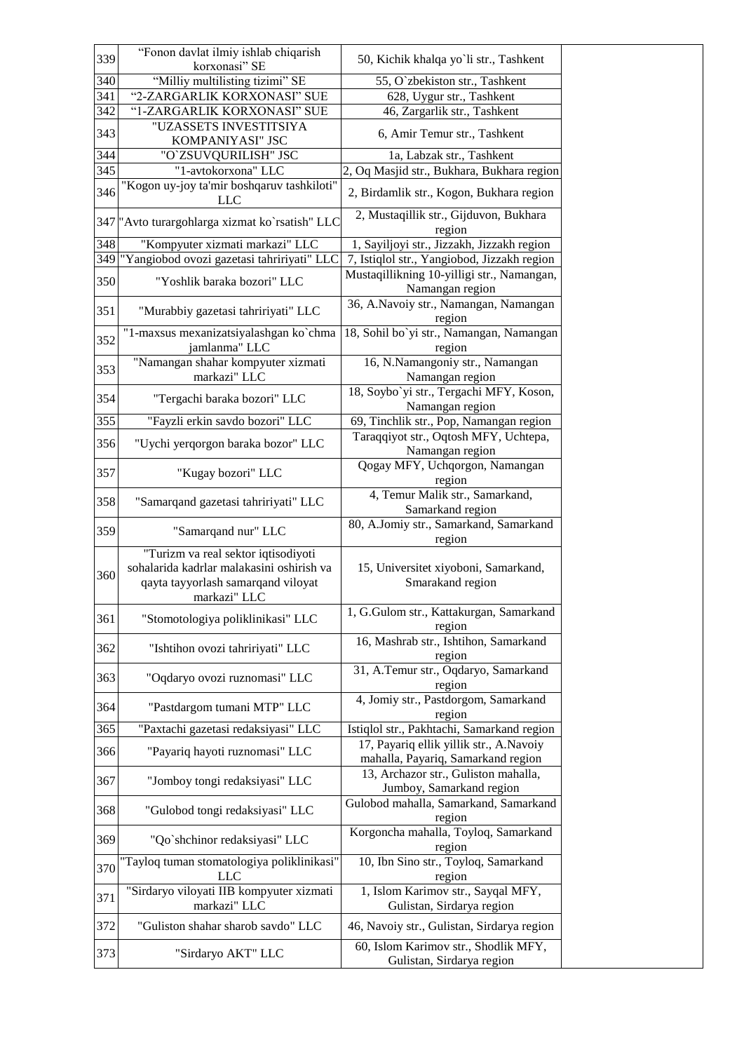| 339 | "Fonon davlat ilmiy ishlab chiqarish                                                                                                   | 50, Kichik khalqa yo`li str., Tashkent                                        |
|-----|----------------------------------------------------------------------------------------------------------------------------------------|-------------------------------------------------------------------------------|
|     | korxonasi" SE                                                                                                                          |                                                                               |
| 340 | "Milliy multilisting tizimi" SE                                                                                                        | 55, O`zbekiston str., Tashkent                                                |
| 341 | "2-ZARGARLIK KORXONASI" SUE                                                                                                            | 628, Uygur str., Tashkent                                                     |
| 342 | "1-ZARGARLIK KORXONASI" SUE                                                                                                            | 46, Zargarlik str., Tashkent                                                  |
| 343 | "UZASSETS INVESTITSIYA<br>KOMPANIYASI" JSC                                                                                             | 6, Amir Temur str., Tashkent                                                  |
| 344 | "O`ZSUVQURILISH" JSC                                                                                                                   | 1a, Labzak str., Tashkent                                                     |
| 345 | "1-avtokorxona" LLC                                                                                                                    | 2, Oq Masjid str., Bukhara, Bukhara region                                    |
| 346 | "Kogon uy-joy ta'mir boshqaruv tashkiloti"<br><b>LLC</b>                                                                               | 2, Birdamlik str., Kogon, Bukhara region                                      |
|     | 347 "Avto turargohlarga xizmat ko`rsatish" LLC                                                                                         | 2, Mustaqillik str., Gijduvon, Bukhara<br>region                              |
| 348 | "Kompyuter xizmati markazi" LLC                                                                                                        | 1, Sayiljoyi str., Jizzakh, Jizzakh region                                    |
| 349 | "Yangiobod ovozi gazetasi tahririyati" LLC                                                                                             | 7, Istiqlol str., Yangiobod, Jizzakh region                                   |
| 350 | "Yoshlik baraka bozori" LLC                                                                                                            | Mustaqillikning 10-yilligi str., Namangan,<br>Namangan region                 |
| 351 | "Murabbiy gazetasi tahririyati" LLC                                                                                                    | 36, A.Navoiy str., Namangan, Namangan<br>region                               |
| 352 | "1-maxsus mexanizatsiyalashgan ko`chma<br>jamlanma" LLC                                                                                | 18, Sohil bo`yi str., Namangan, Namangan<br>region                            |
| 353 | "Namangan shahar kompyuter xizmati<br>markazi" LLC                                                                                     | 16, N.Namangoniy str., Namangan<br>Namangan region                            |
| 354 | "Tergachi baraka bozori" LLC                                                                                                           | 18, Soybo'yi str., Tergachi MFY, Koson,<br>Namangan region                    |
| 355 | "Fayzli erkin savdo bozori" LLC                                                                                                        | 69, Tinchlik str., Pop, Namangan region                                       |
| 356 | "Uychi yerqorgon baraka bozor" LLC                                                                                                     | Taraqqiyot str., Oqtosh MFY, Uchtepa,<br>Namangan region                      |
| 357 | "Kugay bozori" LLC                                                                                                                     | Qogay MFY, Uchqorgon, Namangan<br>region                                      |
| 358 | "Samarqand gazetasi tahririyati" LLC                                                                                                   | 4, Temur Malik str., Samarkand,                                               |
| 359 | "Samarqand nur" LLC                                                                                                                    | Samarkand region<br>80, A.Jomiy str., Samarkand, Samarkand                    |
|     |                                                                                                                                        | region                                                                        |
| 360 | "Turizm va real sektor iqtisodiyoti<br>sohalarida kadrlar malakasini oshirish va<br>qayta tayyorlash samarqand viloyat<br>markazi" LLC | 15, Universitet xiyoboni, Samarkand,<br>Smarakand region                      |
| 361 | "Stomotologiya poliklinikasi" LLC                                                                                                      | 1, G.Gulom str., Kattakurgan, Samarkand<br>region                             |
| 362 | "Ishtihon ovozi tahririyati" LLC                                                                                                       | 16, Mashrab str., Ishtihon, Samarkand<br>region                               |
| 363 | "Oqdaryo ovozi ruznomasi" LLC                                                                                                          | 31, A.Temur str., Oqdaryo, Samarkand<br>region                                |
| 364 | "Pastdargom tumani MTP" LLC                                                                                                            | 4, Jomiy str., Pastdorgom, Samarkand<br>region                                |
| 365 | "Paxtachi gazetasi redaksiyasi" LLC                                                                                                    | Istiqlol str., Pakhtachi, Samarkand region                                    |
| 366 | "Payariq hayoti ruznomasi" LLC                                                                                                         | 17, Payariq ellik yillik str., A.Navoiy<br>mahalla, Payariq, Samarkand region |
| 367 | "Jomboy tongi redaksiyasi" LLC                                                                                                         | 13, Archazor str., Guliston mahalla,<br>Jumboy, Samarkand region              |
| 368 | "Gulobod tongi redaksiyasi" LLC                                                                                                        | Gulobod mahalla, Samarkand, Samarkand<br>region                               |
| 369 | "Qo`shchinor redaksiyasi" LLC                                                                                                          | Korgoncha mahalla, Toyloq, Samarkand<br>region                                |
| 370 | "Tayloq tuman stomatologiya poliklinikasi"<br>LLC                                                                                      | 10, Ibn Sino str., Toyloq, Samarkand<br>region                                |
| 371 | "Sirdaryo viloyati IIB kompyuter xizmati<br>markazi" LLC                                                                               | 1, Islom Karimov str., Sayqal MFY,<br>Gulistan, Sirdarya region               |
| 372 | "Guliston shahar sharob savdo" LLC                                                                                                     | 46, Navoiy str., Gulistan, Sirdarya region                                    |
| 373 | "Sirdaryo AKT" LLC                                                                                                                     | 60, Islom Karimov str., Shodlik MFY,<br>Gulistan, Sirdarya region             |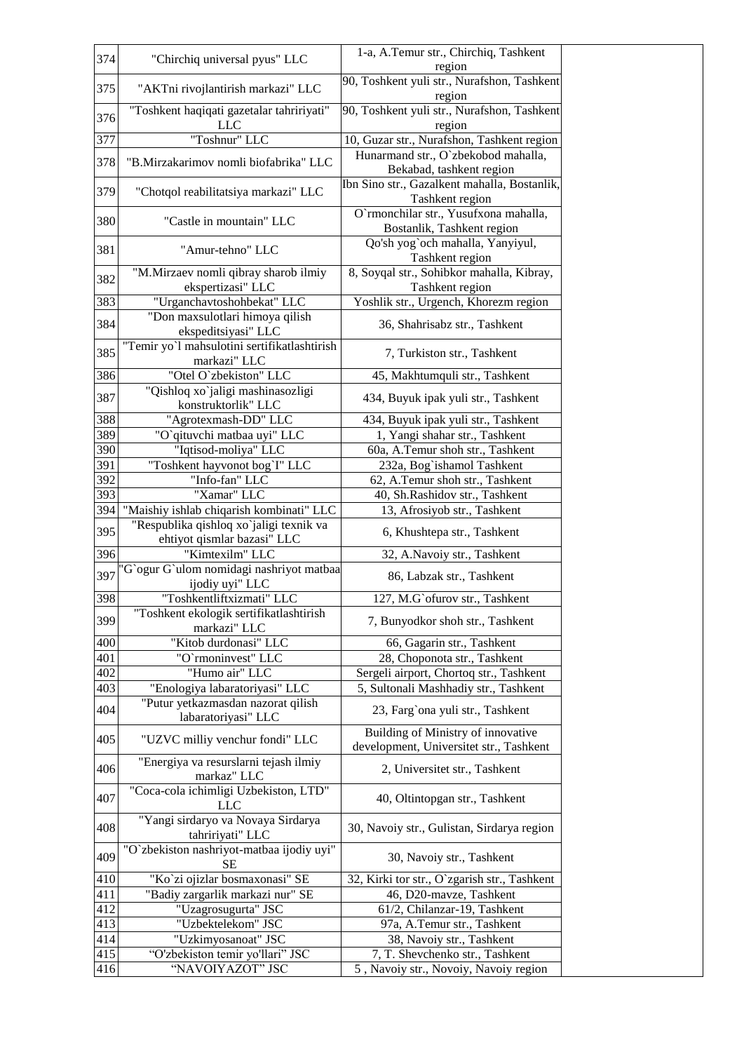| 374 | "Chirchiq universal pyus" LLC                                          | 1-a, A.Temur str., Chirchiq, Tashkent                                    |
|-----|------------------------------------------------------------------------|--------------------------------------------------------------------------|
|     |                                                                        | region                                                                   |
| 375 | "AKTni rivojlantirish markazi" LLC                                     | 90, Toshkent yuli str., Nurafshon, Tashkent<br>region                    |
| 376 | "Toshkent haqiqati gazetalar tahririyati"<br><b>LLC</b>                | 90, Toshkent yuli str., Nurafshon, Tashkent<br>region                    |
| 377 | "Toshnur" LLC                                                          | 10, Guzar str., Nurafshon, Tashkent region                               |
|     |                                                                        | Hunarmand str., O`zbekobod mahalla,                                      |
| 378 | "B.Mirzakarimov nomli biofabrika" LLC                                  | Bekabad, tashkent region                                                 |
| 379 | "Chotqol reabilitatsiya markazi" LLC                                   | Ibn Sino str., Gazalkent mahalla, Bostanlik,<br>Tashkent region          |
| 380 | "Castle in mountain" LLC                                               | O'rmonchilar str., Yusufxona mahalla,<br>Bostanlik, Tashkent region      |
| 381 | "Amur-tehno" LLC                                                       | Qo'sh yog`och mahalla, Yanyiyul,<br>Tashkent region                      |
| 382 | "M.Mirzaev nomli qibray sharob ilmiy<br>ekspertizasi" LLC              | 8, Soyqal str., Sohibkor mahalla, Kibray,<br>Tashkent region             |
| 383 | "Urganchavtoshohbekat" LLC                                             | Yoshlik str., Urgench, Khorezm region                                    |
|     |                                                                        |                                                                          |
| 384 | "Don maxsulotlari himoya qilish                                        | 36, Shahrisabz str., Tashkent                                            |
|     | ekspeditsiyasi" LLC                                                    |                                                                          |
| 385 | "Temir yo'l mahsulotini sertifikatlashtirish<br>markazi" LLC           | 7, Turkiston str., Tashkent                                              |
| 386 | "Otel O'zbekiston" LLC                                                 | 45, Makhtumquli str., Tashkent                                           |
| 387 | "Qishloq xo`jaligi mashinasozligi<br>konstruktorlik" LLC               | 434, Buyuk ipak yuli str., Tashkent                                      |
| 388 | "Agrotexmash-DD" LLC                                                   | 434, Buyuk ipak yuli str., Tashkent                                      |
| 389 | "O'qituvchi matbaa uyi" LLC                                            | 1, Yangi shahar str., Tashkent                                           |
| 390 | "Iqtisod-moliya" LLC                                                   | 60a, A.Temur shoh str., Tashkent                                         |
| 391 | "Toshkent hayvonot bog`I" LLC                                          | 232a, Bog`ishamol Tashkent                                               |
| 392 | "Info-fan" LLC                                                         | 62, A.Temur shoh str., Tashkent                                          |
| 393 | "Xamar" LLC                                                            | 40, Sh.Rashidov str., Tashkent                                           |
| 394 | "Maishiy ishlab chiqarish kombinati" LLC                               | 13, Afrosiyob str., Tashkent                                             |
| 395 | "Respublika qishloq xo`jaligi texnik va<br>ehtiyot qismlar bazasi" LLC | 6, Khushtepa str., Tashkent                                              |
| 396 | "Kimtexilm" LLC                                                        | 32, A.Navoiy str., Tashkent                                              |
|     | "G`ogur G`ulom nomidagi nashriyot matbaa                               |                                                                          |
| 397 | ijodiy uyi" LLC                                                        | 86, Labzak str., Tashkent                                                |
| 398 | "Toshkentliftxizmati" LLC                                              | 127, M.G' of urov str., Tashkent                                         |
| 399 | "Toshkent ekologik sertifikatlashtirish<br>markazi" LLC                | 7, Bunyodkor shoh str., Tashkent                                         |
| 400 | "Kitob durdonasi" LLC                                                  | 66, Gagarin str., Tashkent                                               |
| 401 | "O'rmoninvest" LLC                                                     | 28, Choponota str., Tashkent                                             |
| 402 | "Humo air" LLC                                                         | Sergeli airport, Chortoq str., Tashkent                                  |
| 403 | "Enologiya labaratoriyasi" LLC                                         | 5, Sultonali Mashhadiy str., Tashkent                                    |
| 404 | "Putur yetkazmasdan nazorat qilish<br>labaratoriyasi" LLC              | 23, Farg`ona yuli str., Tashkent                                         |
| 405 | "UZVC milliy venchur fondi" LLC                                        | Building of Ministry of innovative                                       |
| 406 | "Energiya va resurslarni tejash ilmiy                                  | development, Universitet str., Tashkent<br>2, Universitet str., Tashkent |
| 407 | markaz" LLC<br>"Coca-cola ichimligi Uzbekiston, LTD"                   | 40, Oltintopgan str., Tashkent                                           |
| 408 | <b>LLC</b><br>"Yangi sirdaryo va Novaya Sirdarya                       | 30, Navoiy str., Gulistan, Sirdarya region                               |
|     | tahririyati" LLC<br>"O`zbekiston nashriyot-matbaa ijodiy uyi"          |                                                                          |
| 409 | SE                                                                     | 30, Navoiy str., Tashkent                                                |
| 410 | "Ko`zi ojizlar bosmaxonasi" SE                                         | 32, Kirki tor str., O`zgarish str., Tashkent                             |
| 411 | "Badiy zargarlik markazi nur" SE                                       | 46, D20-mavze, Tashkent                                                  |
| 412 | "Uzagrosugurta" JSC                                                    | 61/2, Chilanzar-19, Tashkent                                             |
| 413 | "Uzbektelekom" JSC                                                     | 97a, A.Temur str., Tashkent                                              |
| 414 | "Uzkimyosanoat" JSC                                                    | 38, Navoiy str., Tashkent                                                |
| 415 | "O'zbekiston temir yo'llari" JSC                                       | 7, T. Shevchenko str., Tashkent                                          |
| 416 | "NAVOIYAZOT" JSC                                                       | 5, Navoiy str., Novoiy, Navoiy region                                    |